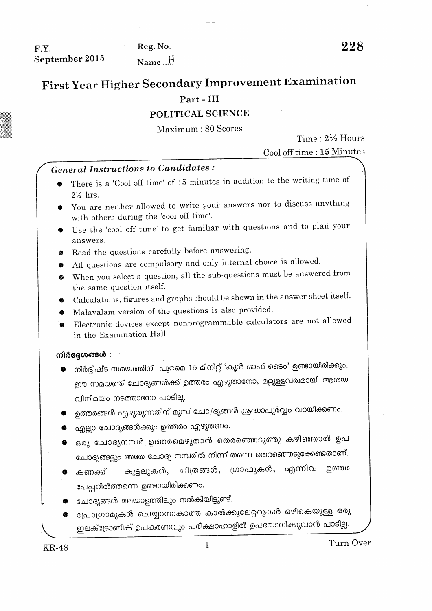F.Y. September 2015

Reg. No. Name...!

# First Year Higher Secondary Improvement Examination

## Part - III

### POLITICAL SCIENCE

Maximum: 80 Scores

Time:  $2\frac{1}{2}$  Hours

Cool off time: 15 Minutes

## **General Instructions to Candidates:**

- There is a 'Cool off time' of 15 minutes in addition to the writing time of  $2\frac{1}{2}$  hrs.
- You are neither allowed to write your answers nor to discuss anything with others during the 'cool off time'.
- Use the 'cool off time' to get familiar with questions and to plan your answers.
- Read the questions carefully before answering.
- All questions are compulsory and only internal choice is allowed.
- When you select a question, all the sub-questions must be answered from the same question itself.
- Calculations, figures and graphs should be shown in the answer sheet itself.
- Malayalam version of the questions is also provided.
- Electronic devices except nonprogrammable calculators are not allowed in the Examination Hall.

#### നിർദ്ദേശങ്ങൾ :

- നിർദ്ദിഷ്ട സമയത്തിന് പുറമെ 15 മിനിറ്റ് 'കൂൾ ഓഫ് ടൈം' ഉണ്ടായിരിക്കും. ഈ സമയത്ത് ചോദ്യങ്ങൾക്ക് ഉത്തരം എഴുതാനോ, മറ്റുള്ളവരുമായി ആശയ വിനിമയം നടത്താനോ പാടില്ല.
- ഉത്തരങ്ങൾ എഴുതുന്നതിന് മുമ്പ് ചോ/ദൃങ്ങൾ ശ്രദ്ധാപുർവ്വം വായിക്കണം.
- എല്ലാ ചോദ്യങ്ങൾക്കും ഉത്തരം എഴുതണം.
- ഒരു ചോദൃനമ്പർ ഉത്തരമെഴുതാൻ തെരഞ്ഞെടുത്തു കഴിഞ്ഞാൽ ഉപ ചോദ്യങ്ങളും അതേ ചോദ്യ നമ്പരിൽ നിന്ന് തന്നെ തെരഞ്ഞെടുക്കേണ്ടതാണ്.
- കൂട്ടലുകൾ, ചിത്രങ്ങൾ, ഗ്രാഫുകൾ, എന്നിവ ഉത്തര കണക്ക് പേപ്പറിൽത്തന്നെ ഉണ്ടായിരിക്കണം.
- ചോദ്യങ്ങൾ മലയാളത്തിലും നൽകിയിട്ടുണ്ട്.
- പ്രോഗ്രാമുകൾ ചെയ്യാനാകാത്ത കാൽക്കുലേറ്ററുകൾ ഒഴികെയുള്ള ഒരു ഇലക്ട്രോണിക് ഉപകരണവും പരീക്ഷാഹാളിൽ ഉപയോഗിക്കുവാൻ പാടില്ല.

 $\mathbf{1}$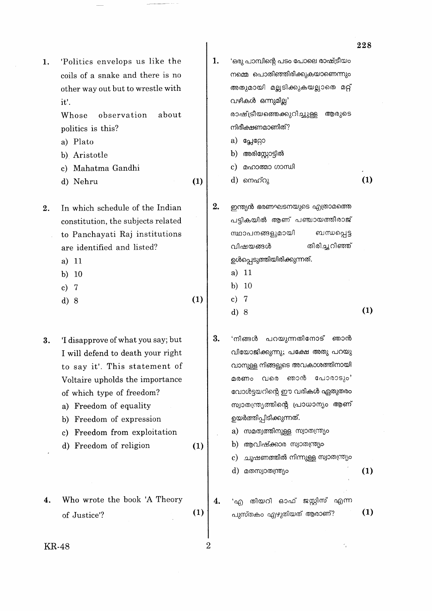|    |                                                                                                                                                                                                                                                                                                   |     |    |                                                                                                                                                                                                                                                                                                                                                                             | 228 |
|----|---------------------------------------------------------------------------------------------------------------------------------------------------------------------------------------------------------------------------------------------------------------------------------------------------|-----|----|-----------------------------------------------------------------------------------------------------------------------------------------------------------------------------------------------------------------------------------------------------------------------------------------------------------------------------------------------------------------------------|-----|
| 1. | 'Politics envelops us like the<br>coils of a snake and there is no<br>other way out but to wrestle with<br>it'.<br>observation<br>about<br>Whose<br>politics is this?<br>a) Plato<br>b) Aristotle<br>c) Mahatma Gandhi<br>d) Nehru                                                                | (1) | 1. | 'ഒരു പാമ്പിന്റെ പടം പോലെ രാഷ്ട്രീയം<br>നമ്മെ പൊതിഞ്ഞിരിക്കുകയാണെന്നും<br>അതുമായി മല്ലടിക്കുകയല്ലാതെ മറ്റ്<br>വഴികൾ ഒന്നുമില്ല'<br>രാഷ്ട്രീയത്തെക്കുറിച്ചുള്ള<br>ആരുടെ<br>നിരീക്ഷണമാണിത്?<br>a) പ്ലേറ്റോ<br>അരിസ്റ്റോട്ടിൽ<br>b)<br>മഹാത്മാ ഗാന്ധി<br>c)<br>d) നെഹ്റു                                                                                                        | (1) |
| 2. | In which schedule of the Indian<br>constitution, the subjects related<br>to Panchayati Raj institutions<br>are identified and listed?<br>11<br>a)<br>$10\,$<br>b)<br>c)<br>7<br>d) 8                                                                                                              | (1) | 2. | ഇന്ത്യൻ ഭരണഘടനയുടെ എത്രാമത്തെ<br>പട്ടികയിൽ ആണ് പഞ്ചായത്തീരാജ്<br>സ്ഥാപനങ്ങളുമായി<br>ബന്ധപ്പെട്ട<br>തിരിച്ചറിഞ്ഞ്<br>വിഷയങ്ങൾ<br>ഉൾപ്പെടുത്തിയിരിക്കുന്നത്.<br>a) 11<br>10<br>b)<br>$\overline{7}$<br>$\bf c)$<br>d)8                                                                                                                                                        | (1) |
| 3. | 'I disapprove of what you say; but<br>I will defend to death your right<br>to say it'. This statement of<br>Voltaire upholds the importance<br>of which type of freedom?<br>a) Freedom of equality<br>Freedom of expression<br>b)<br>Freedom from exploitation<br>c)<br>Freedom of religion<br>d) | (1) | 3. | പറയുന്നതിനോട് ഞാൻ<br>'നിങ്ങൾ<br>വിയോജിക്കുന്നു; പക്ഷേ അതു പറയു<br>വാനുള്ള നിങ്ങളുടെ അവകാശത്തിനായി<br>ഞാൻ പോരാടും'<br>മരണം<br>വരെ<br>വോൾട്ടയറിന്റെ ഈ വരികൾ ഏതുതരം<br>സ്വാതന്ത്ര്യത്തിന്റെ പ്രാധാന്യം ആണ്<br>ഉയർത്തിപ്പിടിക്കുന്നത്.<br>സമത്വത്തിനുള്ള സ്വാതന്ത്ര്യം<br>a)<br>ആവിഷ്ക്കാര സ്വാതന്ത്ര്യം<br>b)<br>ചൂഷണത്തിൽ നിന്നുള്ള സ്വാതന്ത്ര്യം<br>c)<br>d) മതസ്വാതന്ത്ര്യം | (1) |
| 4. | Who wrote the book 'A Theory<br>of Justice'?                                                                                                                                                                                                                                                      | (1) | 4. | തിയറി ഓഫ് ജസ്റ്റിസ് എന്ന<br>എ<br>പുസ്തകം എഴുതിയത് ആരാണ്?                                                                                                                                                                                                                                                                                                                    | (1) |
|    | KR-48                                                                                                                                                                                                                                                                                             |     | 2  |                                                                                                                                                                                                                                                                                                                                                                             |     |

 $\overline{\phantom{a}}$ 

 $\mathcal{A}$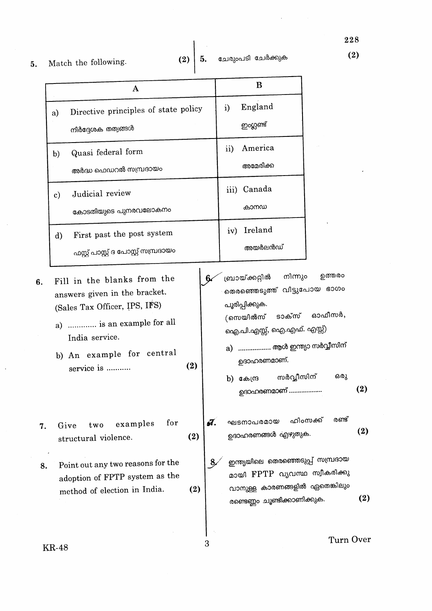5. Match the following.

 $\hat{\boldsymbol{\beta}}$ 

 $\bar{\beta}$ 

 $6.$ 

|    | A                                                                                                                                                                                       |     |    | B                                                                                                                                                                                                                                 |                   |
|----|-----------------------------------------------------------------------------------------------------------------------------------------------------------------------------------------|-----|----|-----------------------------------------------------------------------------------------------------------------------------------------------------------------------------------------------------------------------------------|-------------------|
|    | Directive principles of state policy<br>a)<br>നിർദ്ദേശക തത്വങ്ങൾ                                                                                                                        |     |    | England<br>i)<br>ഇംഗ്ലണ്ട്                                                                                                                                                                                                        |                   |
|    | Quasi federal form<br>b)<br>അർദ്ധ ഫെഡറൽ സമ്പ്രദായം                                                                                                                                      |     |    | America<br>$\rm ii)$<br>അമേരിക്ക                                                                                                                                                                                                  |                   |
|    | Judicial review<br>$\mathbf{c})$<br>കോടതിയുടെ പുനരവലോകനം                                                                                                                                |     |    | iii) Canada<br>കാനഡ                                                                                                                                                                                                               |                   |
|    | First past the post system<br>$\rm d)$<br>ഫസ്റ്റ് പാസ്റ്റ് ദ പോസ്റ്റ് സമ്പ്രദായം                                                                                                        |     |    | iv) Ireland<br>അയർലൻഡ്                                                                                                                                                                                                            |                   |
| 6. | Fill in the blanks from the<br>answers given in the bracket.<br>(Sales Tax Officer, IPS, IFS)<br>a)  is an example for all<br>India service.<br>b) An example for central<br>service is | (2) | 6. | നിന്നും<br>ബ്രായ്ക്കറ്റിൽ<br>തെരഞ്ഞെടുത്ത് വിട്ടുപോയ ഭാഗം<br>പൂരിപ്പിക്കുക.<br>(സെയിൽസ് ടാക്സ് ഓഫീസർ,<br>ഐ.പി.എസ്സ്, ഐ.എഫ്. എസ്സ്)<br>a) ……………… ആൾ ഇന്ത്യാ സർവ്വീസിന്<br>ഉദാഹരണമാണ്.<br>സർവ്വീസിന്<br>ന് കേന്ദ്ര (d<br>ഉദാഹരണമാണ് | ഉത്തരം<br>ഒരു     |
| 7. | for<br>examples<br>Give<br>two<br>structural violence.                                                                                                                                  | (2) | ũ. | ഘടനാപരമായ<br>ഉദാഹരണങ്ങൾ എഴുതുക.                                                                                                                                                                                                   | രണ്ട്<br>ഹിംസക്ക് |
| 8. | Point out any two reasons for the<br>adoption of FPTP system as the<br>method of election in India.                                                                                     | (2) | 8, | ഇന്ത്യയിലെ തെരഞ്ഞെടുപ്പ് സമ്പ്രദായ<br>മായി FPTP വ്യവസ്ഥ സ്വീകരിക്കു<br>വാനുള്ള കാരണങ്ങളിൽ ഏതെങ്കിലും<br>രണ്ടെണ്ണം ചൂണ്ടിക്കാണിക്കുക.                                                                                              |                   |
|    | $KP$ $AB$                                                                                                                                                                               |     |    |                                                                                                                                                                                                                                   | Turn              |

**KR-48** 

 $\overline{\phantom{a}}$ 

Turn Over

 $(2)$ 

 $(2)$ 

 $(2)$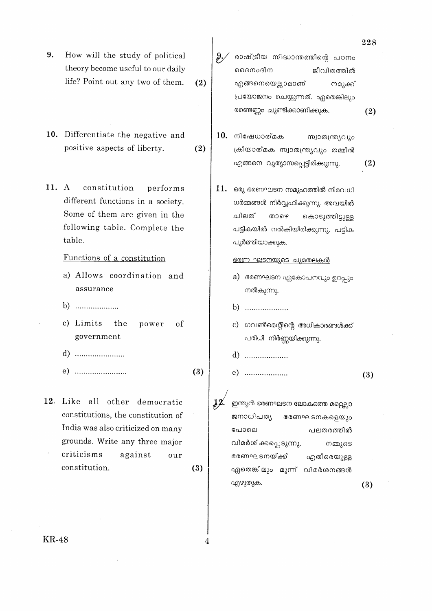9. How will the study of political theory become useful to our daily life? Point out any two of them.  $(2)$ 

10. Differentiate the negative and positive aspects of liberty.  $(2)$ 

11. A constitution performs different functions in a society. Some of them are given in the following table. Complete the table.

#### Functions of a constitution

- a) Allows coordination and assurance
- 
- c) Limits the power of government
- d) .........................
- $(e)$  ..........................  $(3)$

12. Like all other democratic constitutions, the constitution of India was also criticized on many grounds. Write any three major criticisms against our constitution.  $(3)$   $\vartheta$ രാഷ്ട്രീയ സിദ്ധാന്തത്തിന്റെ പഠനം ദൈനംദിന ജീവിതത്തിൽ എങ്ങനെയെല്ലാമാണ് നമുക്ക് പ്രയോജനം ചെയ്യുന്നത്. ഏതെങ്കിലും രണ്ടെണ്ണം ചൂണ്ടിക്കാണിക്കുക.

- $10.$  നിഷേധാത്മക സ്വാതന്ത്ര്യവും ക്രിയാത്മക സ്വാതന്ത്ര്യവും തമ്മിൽ എങ്ങനെ വ്യത്യാസപ്പെട്ടിരിക്കുന്നു.  $(2)$
- 11. ഒരു ഭരണഘടന സമുഹത്തിൽ നിരവധി ധർമ്മങ്ങൾ നിർവ്വഹിക്കുന്നു. അവയിൽ ചിലത് താഴെ കൊടുത്തിട്ടുള്ള പട്ടികയിൽ നൽകിയിരിക്കുന്നു. പട്ടിക പൂർത്തിയാക്കുക.

#### <u>ഭരണ ഘടനയുടെ ചുമതലകൾ</u>

- a) ഭരണഘടന ഏകോപനവും ഉറപ്പും നൽകുന്നു.
- 
- c) ഗവൺമെന്റിന്റെ അധികാരങ്ങൾക്ക് പരിധി നിർണ്ണയിക്കുന്നു.
- 
- $(e)$  ......................  $(3)$

 $\mathbf{12}^{\prime}$ ഇന്ത്യൻ ഭരണഘടന ലോകത്തെ മറ്റെല്ലാ ജനാധിപത്യ ഭരണഘടനകളെയും പോലെ പലതരത്തിൽ വിമർശിക്കപ്പെടുന്നു. നമ്മുടെ ഭരണഘടനയ്ക്ക് എതിരെയുള്ള ഏതെങ്കിലും മൂന്ന് വിമർശനങ്ങൾ എഴുതുക.  $(3)$ 

 $(2)$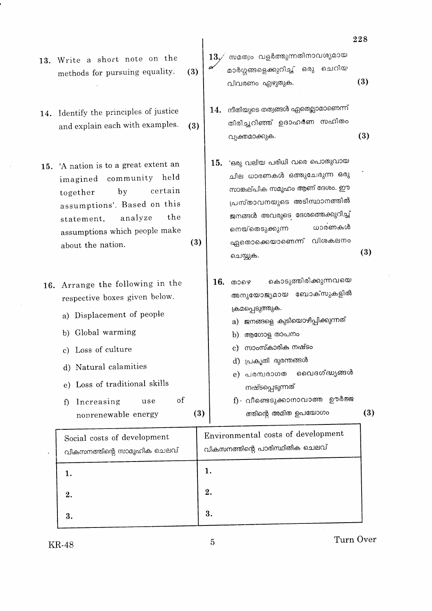- 13. Write a short note on the methods for pursuing equality.  $(3)$
- 14. Identify the principles of justice and explain each with examples.  $(3)$
- 15. 'A nation is to a great extent an imagined community held certain by together assumptions'. Based on this analyze the statement, assumptions which people make  $(3)$ about the nation.
- 16. Arrange the following in the respective boxes given below.
	- a) Displacement of people
	- b) Global warming
	- c) Loss of culture
	- d) Natural calamities
	- e) Loss of traditional skills
	- of f) Increasing use nonrenewable energy
- സമത്വം വളർത്തുന്നതിനാവശ്യമായ  $13.7$ മാർഗ്ഗങ്ങളെക്കുറിച്ച് ഒരു ചെറിയ  $(3)$ .വിവരണം എഴുതുക.
- $\,14.\;$  നീതിയുടെ തത്വങ്ങൾ ഏതെല്ലാമാണെന്ന് തിരിച്ചറിഞ്ഞ് ഉദാഹരണ സഹിതം  $(3)$ വ്യക്തമാക്കുക.
- $15.$  'ഒരു വലിയ പരിധി വരെ പൊതുവായ ചില ധാരണകൾ ഒത്തുചേരുന്ന ഒരു സാങ്കല്പിക സമൂഹം ആണ് ദേശം. ഈ പ്രസ്താവനയുടെ അടിസ്ഥാനത്തിൽ ജനങ്ങൾ അവരുടെ ദേശത്തെക്കുറിച്ച് ധാരണകൾ നെയ്തെടുക്കുന്ന ഏതൊക്കെയാണെന്ന് വിശകലനം  $(3)$ ചെയ്യുക.
- കൊടുത്തിരിക്കുന്നവയെ 16. താഴെ അനുയോജ്യമായ ബോക്സുകളിൽ ക്രമപ്പെടുത്തുക.
	- a) ജനങ്ങളെ കുടിയൊഴിപ്പിക്കുന്നത്
	- b) ആഗോള താപനം
	- c) സാംസ്കാരിക നഷ്ടം
	- d) പ്രകൃതി ദുരന്തങ്ങൾ
	- വൈദഗ്ദ്ധ്യങ്ങൾ e) പരമ്പരാഗത നഷ്ടപ്പെടുന്നത്
	- f) · വീണ്ടെടുക്കാനാവാത്ത ഊർജ്ജ ത്തിന്റെ അമിത ഉപയോഗം

 $(3)$ 

| Social costs of development<br>വികസനത്തിന്റെ സാമൂഹിക ചെലവ് | Environmental costs of development<br>വികസനത്തിന്റെ പാരിസ്ഥിതിക ചെലവ് |
|------------------------------------------------------------|-----------------------------------------------------------------------|
|                                                            | ı.                                                                    |
| 2.                                                         | 2.                                                                    |
| 3.                                                         | 3.                                                                    |

5

 $(3)$ 

Turn Over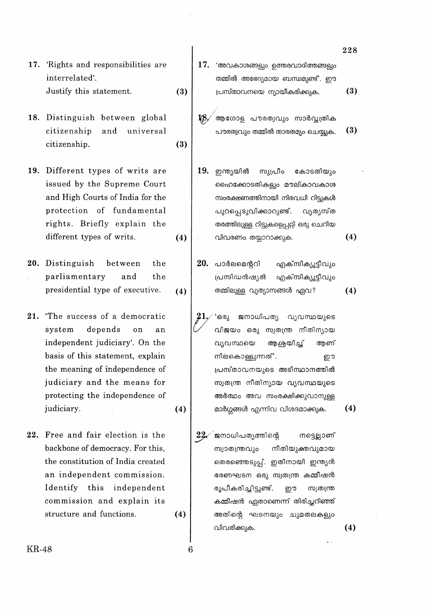- 17. 'Rights and responsibilities are interrelated'. Justify this statement.  $(3)$
- 18. Distinguish between global citizenship and universal  $(3)$ citizenship.

19. Different types of writs are issued by the Supreme Court and High Courts of India for the protection of fundamental rights. Briefly explain the different types of writs.  $(4)$ 

20. Distinguish between the parliamentary and the presidential type of executive.  $(4)$ 

21. The success of a democratic system depends on  $a<sub>n</sub>$ independent judiciary'. On the basis of this statement, explain the meaning of independence of judiciary and the means for protecting the independence of judiciary.

 $(4)$ 

 $(4)$ 

6

22. Free and fair election is the backbone of democracy. For this, the constitution of India created an independent commission. Identify this independent commission and explain its structure and functions.

 $17.$  'അവകാശങ്ങളും ഉത്തരവാദിത്തങ്ങളും തമ്മിൽ അഭേദ്യമായ ബന്ധമുണ്ട്'. ഈ

> $(3)$ പ്രസ്താവനയെ ന്യായീകരിക്കുക.

- ആഗോള പൗരത്വവും സാർവ്യതിക 18 പൗരത്വവും തമ്മിൽ താരതമ്യം ചെയ്യുക.
- 19. ഇന്ത്യയിൽ സുപ്രീം കോടതിയും ഹൈക്കോടതികളും മൗലികാവകാശ സംരക്ഷണത്തിനായി നിരവധി റിട്ടുകൾ പുറപ്പെടുവിക്കാറുണ്ട്. വ്യത്യസ്ത തരത്തിലുള്ള റിട്ടുകളെപ്പറ്റി ഒരു ചെറിയ വിവരണം തയ്യാറാക്കുക.  $(4)$
- $20.$  പാർലമെൻറി എക്സിക്യൂട്ടീവും പ്രസിഡൻഷ്യൽ എക്സിക്യൂട്ടീവും തമ്മിലുള്ള വ്യത്യാസങ്ങൾ ഏവ?
	- ്ഒരു ജനാധിപത്യ വ്യവസ്ഥയുടെ വിജയം ഒരു സ്വതന്ത്ര നീതിന്യായ വ്യവസ്ഥയെ ആശ്രയിച്ച് ആണ് നിലകൊള്ളുന്നത്'. ഈ പ്രസ്താവനയുടെ അടിസ്ഥാനത്തിൽ സ്വതന്ത്ര നീതിന്യായ വ്യവസ്ഥയുടെ അർത്ഥം അവ സംരക്ഷിക്കുവാനുള്ള മാർഗ്ഗങ്ങൾ എന്നിവ വിശദമാക്കുക.

 $22\,$ ജനാധിപത്യത്തിന്റെ നട്ടെല്ലാണ് സ്വാതന്ത്രവും നീതിയുക്തവുമായ തെരഞ്ഞെടുപ്പ്. ഇതിനായി ഇന്ത്യൻ ഭരണഘടന ഒരു സ്വതന്ത്ര കമ്മീഷൻ രൂപീകരിച്ചിട്ടുണ്ട്. ഈ സ്വതന്ത്ര കമ്മീഷൻ ഏതാണെന്ന് തിരിച്ചറിഞ്ഞ് അതിന്റെ ഘടനയും ചുമതലകളും വിവരിക്കുക.

228

 $(3)$ 

 $(4)$ 

 $(4)$ 

 $(4)$ 

**KR-48**